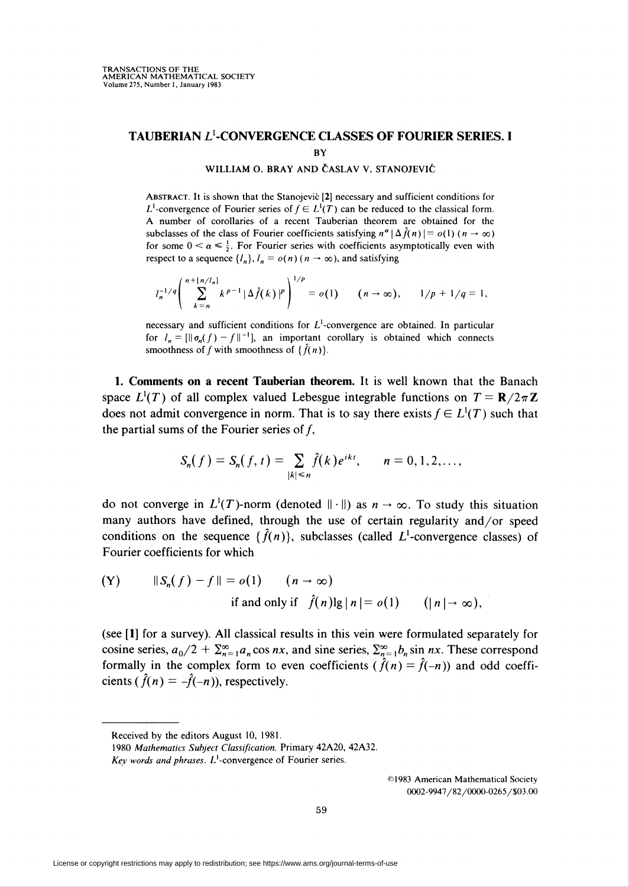## TAUBERIAN L<sup>1</sup>-CONVERGENCE CLASSES OF FOURIER SERIES. I **BY**

## WILLIAM O. BRAY AND ČASLAV V. STANOJEVIĆ

ABSTRACT. It is shown that the Stanojević [2] necessary and sufficient conditions for  $L^1$ -convergence of Fourier series of  $f \in L^1(T)$  can be reduced to the classical form. A number of corollaries of a recent Tauberian theorem are obtained for the subclasses of the class of Fourier coefficients satisfying  $n^{\alpha} | \Delta \hat{f}(n) | = o(1) (n \rightarrow \infty)$ for some  $0 < \alpha \leq \frac{1}{2}$ . For Fourier series with coefficients asymptotically even with respect to a sequence  $\{l_n\}$ ,  $l_n = o(n)$  ( $n \to \infty$ ), and satisfying

$$
l_n^{-1/q}\left(\sum_{k=n}^{n+[n/l_n]}k^{p-1}|\Delta \hat{f}(k)|^p\right)^{1/p}=o(1)\qquad (n\to\infty),\qquad 1/p+1/q=1,
$$

necessary and sufficient conditions for  $L^1$ -convergence are obtained. In particular for  $l_n = [\|\sigma_n(f) - f\|^{-1}]$ , an important corollary is obtained which connects smoothness of f with smoothness of  $\{\hat{f}(n)\}$ .

1. Comments on a recent Tauberian theorem. It is well known that the Banach space  $L^1(T)$  of all complex valued Lebesgue integrable functions on  $T = \mathbb{R}/2\pi \mathbb{Z}$ does not admit convergence in norm. That is to say there exists  $f \in L^1(T)$  such that the partial sums of the Fourier series of  $f$ ,

$$
S_n(f) = S_n(f, t) = \sum_{|k| \le n} \hat{f}(k) e^{ikt}, \qquad n = 0, 1, 2, \dots
$$

do not converge in  $L^1(T)$ -norm (denoted  $\|\cdot\|$ ) as  $n \to \infty$ . To study this situation many authors have defined, through the use of certain regularity and/or speed conditions on the sequence  $\{\hat{f}(n)\}\)$ , subclasses (called  $L^1$ -convergence classes) of Fourier coefficients for which

(Y) 
$$
||S_n(f) - f|| = o(1)
$$
  $(n \to \infty)$   
if and only if  $\hat{f}(n) \lg |n| = o(1)$   $(|n| \to \infty)$ ,

(see [1] for a survey). All classical results in this vein were formulated separately for cosine series,  $a_0/2 + \sum_{n=1}^{\infty} a_n \cos nx$ , and sine series,  $\sum_{n=1}^{\infty} b_n \sin nx$ . These correspond formally in the complex form to even coefficients ( $\hat{f}(n) = \hat{f}(-n)$ ) and odd coefficients ( $\hat{f}(n) = -\hat{f}(-n)$ ), respectively.

©1983 American Mathematical Society O0O2-9947/82/OOOO-0265/\$O3.OO

Received by the editors August 10, 1981.

<sup>1980</sup> Mathematics Subject Classification. Primary 42A20, 42A32.

Key words and phrases.  $L^1$ -convergence of Fourier series.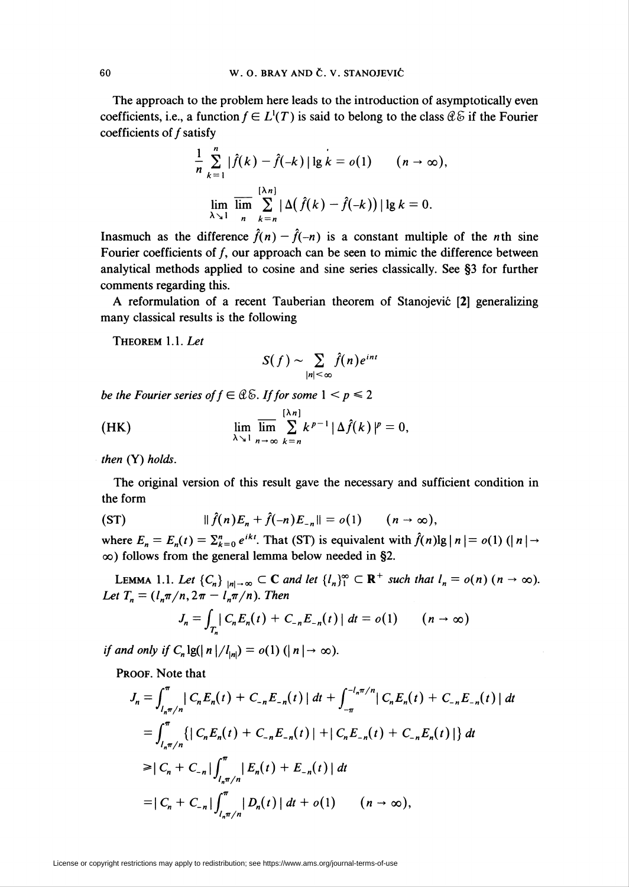The approach to the problem here leads to the introduction of asymptotically even coefficients, i.e., a function  $f \in L^1(T)$  is said to belong to the class  $\mathcal{Q} \mathcal{E}$  if the Fourier coefficients of  $f$  satisfy

$$
\frac{1}{n}\sum_{k=1}^{n}|\hat{f}(k)-\hat{f}(-k)|\lg k = o(1) \qquad (n \to \infty),
$$
  

$$
\lim_{\lambda \searrow 1} \overline{\lim_{n} \sum_{k=n}^{\lfloor \lambda n \rfloor} |\Delta(\hat{f}(k)-\hat{f}(-k))|\lg k = 0}.
$$

Inasmuch as the difference  $\hat{f}(n) - \hat{f}(-n)$  is a constant multiple of the *n*th sine Fourier coefficients of  $f$ , our approach can be seen to mimic the difference between analytical methods applied to cosine and sine series classically. See §3 for further comments regarding this.

A reformulation of a recent Tauberian theorem of Stanojevic [2] generalizing many classical results is the following

Theorem 1.1. Let

$$
S(f) \sim \sum_{|n| < \infty} \hat{f}(n) e^{int}
$$

be the Fourier series of  $f \in \mathcal{CE}$ . If for some  $1 \leq p \leq 2$ 

(HK) 
$$
\lim_{\lambda \searrow 1} \overline{\lim_{n \to \infty}} \sum_{k=n}^{\left[\lambda n\right]} k^{p-1} |\Delta \hat{f}(k)|^p = 0,
$$

then (Y) holds.

The original version of this result gave the necessary and sufficient condition in the form

$$
(ST) \t\t\t || \hat{f}(n)E_n + \hat{f}(-n)E_{-n}|| = o(1) \t (n \to \infty),
$$

where  $E_n = E_n(t) = \sum_{k=0}^n e^{ikt}$ . That (ST) is equivalent with  $\hat{f}(n) \lg |n| = o(1)$  ( $\mid n \mid \rightarrow$  $\infty$ ) follows from the general lemma below needed in §2.

LEMMA 1.1. Let  $\{C_n\}_{|n| \to \infty} \subset \mathbb{C}$  and let  $\{I_n\}_{1}^{\infty} \subset \mathbb{R}^+$  such that  $I_n = o(n)$   $(n \to \infty)$ . Let  $T_n = (l_n \pi/n, 2\pi - l_n \pi/n)$ . Then

$$
J_n = \int_{T_n} |C_n E_n(t) + C_{-n} E_{-n}(t)| dt = o(1) \qquad (n \to \infty)
$$

if and only if  $C_n \lg(|n|/l_{|n|}) = o(1)$   $(|n| \rightarrow \infty)$ .

PROOF. Note that

$$
J_n = \int_{l_n \pi/n}^{\pi} |C_n E_n(t) + C_{-n} E_{-n}(t)| dt + \int_{-\pi}^{-l_n \pi/n} |C_n E_n(t) + C_{-n} E_{-n}(t)| dt
$$
  
\n
$$
= \int_{l_n \pi/n}^{\pi} \{ |C_n E_n(t) + C_{-n} E_{-n}(t) | + |C_n E_{-n}(t) + C_{-n} E_n(t) | \} dt
$$
  
\n
$$
\geq |C_n + C_{-n}| \int_{l_n \pi/n}^{\pi} |E_n(t) + E_{-n}(t)| dt
$$
  
\n
$$
= |C_n + C_{-n}| \int_{l_n \pi/n}^{\pi} |D_n(t)| dt + o(1) \qquad (n \to \infty),
$$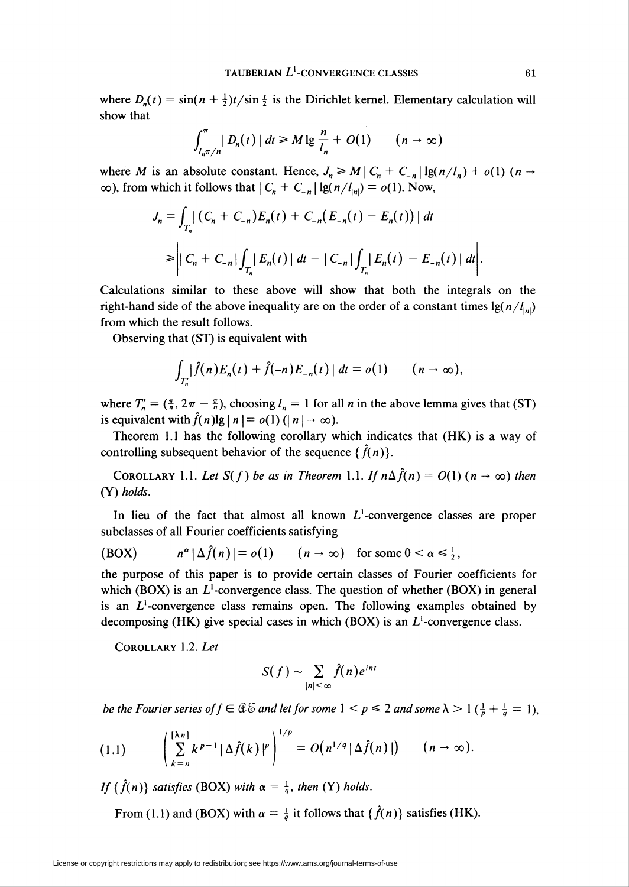where  $D_n(t) = \sin((n + \frac{1}{2})t/\sin{\frac{t}{2}})$  is the Dirichlet kernel. Elementary calculation will show that

$$
\int_{l_n\pi/n}^{\pi} |D_n(t)| dt \geq M \lg \frac{n}{l_n} + O(1) \qquad (n \to \infty)
$$

where M is an absolute constant. Hence,  $J_n \ge M \left| C_n + C_{-n} \right| \lg(n/l_n) + o(1)$  ( $n \to \infty$ )  $\infty$ ), from which it follows that  $|C_n + C_{-n}| \lg(n/l_{\vert n|}) = o(1)$ . Now,

$$
J_n = \int_{T_n} |(C_n + C_{-n})E_n(t) + C_{-n}(E_{-n}(t) - E_n(t))| dt
$$
  
\n
$$
\geq |C_n + C_{-n}| \int_{T_n} |E_n(t)| dt - |C_{-n}| \int_{T_n} |E_n(t) - E_{-n}(t)| dt |.
$$

Calculations similar to these above will show that both the integrals on the right-hand side of the above inequality are on the order of a constant times  $\lg(n/l_{\text{ini}})$ from which the result follows.

Observing that (ST) is equivalent with

$$
\int_{T'_n} |\hat{f}(n)E_n(t) + \hat{f}(-n)E_{-n}(t)| dt = o(1) \qquad (n \to \infty),
$$

where  $T'_n = (\frac{\pi}{n}, 2\pi - \frac{\pi}{n})$ , choosing  $l_n = 1$  for all *n* in the above lemma gives that (ST) is equivalent with  $\hat{f}(n) \lg | n | = o(1) (| n | \rightarrow \infty)$ .

Theorem 1.1 has the following corollary which indicates that (HK) is a way of controlling subsequent behavior of the sequence  $\{\hat{f}(n)\}.$ 

COROLLARY 1.1. Let  $S(f)$  be as in Theorem 1.1. If  $n\Delta \hat{f}(n) = O(1)$   $(n \to \infty)$  then (Y) holds.

In lieu of the fact that almost all known  $L^1$ -convergence classes are proper subclasses of all Fourier coefficients satisfying

(BOX)  $n^{\alpha} |\Delta \hat{f}(n)| = o(1)$   $(n \to \infty)$  for some  $0 < \alpha \le \frac{1}{2}$ ,

the purpose of this paper is to provide certain classes of Fourier coefficients for which (BOX) is an  $L^1$ -convergence class. The question of whether (BOX) in general is an  $L^1$ -convergence class remains open. The following examples obtained by decomposing (HK) give special cases in which (BOX) is an  $L^1$ -convergence class.

Corollary 1.2. Let

$$
S(f) \sim \sum_{|n| < \infty} \hat{f}(n) e^{int}
$$

be the Fourier series of  $f \in \mathcal{Q} \otimes \mathcal{Z}$  and let for some  $1 \leq p \leq 2$  and some  $\lambda > 1$  ( $\frac{1}{p} + \frac{1}{q} = 1$ ),

$$
(1.1) \qquad \left(\sum_{k=n}^{\lfloor \lambda n \rfloor} k^{p-1} |\Delta \hat{f}(k)|^p\right)^{1/p} = O\big(n^{1/q} |\Delta \hat{f}(n)|\big) \qquad (n \to \infty).
$$

If  $\{\hat{f}(n)\}\$  satisfies (BOX) with  $\alpha = \frac{1}{q}$ , then (Y) holds.

From (1.1) and (BOX) with  $\alpha = \frac{1}{q}$  it follows that { $\hat{f}(n)$ } satisfies (HK).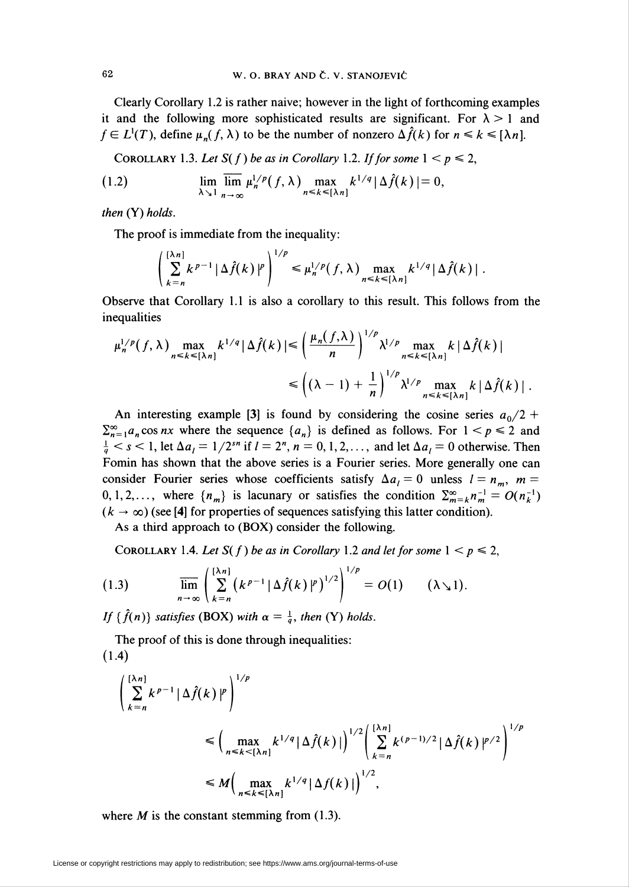Clearly Corollary 1.2 is rather naive; however in the light of forthcoming examples it and the following more sophisticated results are significant. For  $\lambda > 1$  and  $f \in L^1(T)$ , define  $\mu_n(f, \lambda)$  to be the number of nonzero  $\Delta \hat{f}(k)$  for  $n \leq k \leq \lceil \lambda n \rceil$ .

COROLLARY 1.3. Let  $S(f)$  be as in Corollary 1.2. If for some  $1 < p \le 2$ ,

(1.2) 
$$
\lim_{\lambda \searrow 1} \overline{\lim}_{n \to \infty} \mu_n^{1/p}(f, \lambda) \max_{n \leq k \leq {\lambda n} 1} k^{1/q} |\Delta \hat{f}(k)| = 0,
$$

then  $(Y)$  holds.

The proof is immediate from the inequality:

$$
\left(\sum_{k=n}^{\lceil \lambda n \rceil} k^{p-1} |\Delta \hat{f}(k)|^p\right)^{1/p} \leq \mu_n^{1/p}(f, \lambda) \max_{n \leq k \leq \lceil \lambda n \rceil} k^{1/q} |\Delta \hat{f}(k)|.
$$

Observe that Corollary 1.1 is also a corollary to this result. This follows from the inequalities

$$
\mu_n^{1/p}(f,\lambda) \max_{n \le k \le \lfloor \lambda n \rfloor} k^{1/q} |\Delta \hat{f}(k)| \le \left(\frac{\mu_n(f,\lambda)}{n}\right)^{1/p} \lambda^{1/p} \max_{n \le k \le \lfloor \lambda n \rfloor} k |\Delta \hat{f}(k)|
$$
  

$$
\le \left( (\lambda - 1) + \frac{1}{n} \right)^{1/p} \lambda^{1/p} \max_{n \le k \le \lfloor \lambda n \rfloor} k |\Delta \hat{f}(k)|.
$$

An interesting example [3] is found by considering the cosine series  $a_0/2$  +  $\sum_{n=1}^{\infty} a_n \cos nx$  where the sequence  $\{a_n\}$  is defined as follows. For  $1 < p \le 2$  and  $\frac{1}{q} < s < 1$ , let  $\Delta a_i = 1/2^{sn}$  if  $i = 2^n$ ,  $n = 0, 1, 2, \ldots$ , and let  $\Delta a_i = 0$  otherwise. Then Fomin has shown that the above series is a Fourier series. More generally one can consider Fourier series whose coefficients satisfy  $\Delta a_i = 0$  unless  $l = n_m$ ,  $m =$ 0,1,2,..., where  ${n_m}$  is lacunary or satisfies the condition  $\sum_{m=k}^{\infty} n_m^{-1} = O(n_k^{-1})$  $(k \rightarrow \infty)$  (see [4] for properties of sequences satisfying this latter condition).

As a third approach to (BOX) consider the following.

COROLLARY 1.4. Let  $S(f)$  be as in Corollary 1.2 and let for some  $1 < p \le 2$ ,

(1.3) 
$$
\overline{\lim}_{n\to\infty}\left(\sum_{k=n}^{\lfloor \lambda n\rfloor} \left(k^{p-1}|\Delta \hat{f}(k)|^p\right)^{1/2}\right)^{1/p}=O(1)\qquad (\lambda\searrow 1).
$$

If  $\{\hat{f}(n)\}\$  satisfies (BOX) with  $\alpha = \frac{1}{q}$ , then (Y) holds.

The proof of this is done through inequalities: (1.4)

$$
\left(\sum_{k=n}^{\lceil \lambda n \rceil} k^{p-1} |\Delta \hat{f}(k)|^p \right)^{1/p}
$$
\n
$$
\leq \left(\max_{n \leq k < \lceil \lambda n \rceil} k^{1/q} |\Delta \hat{f}(k)| \right)^{1/2} \left(\sum_{k=n}^{\lceil \lambda n \rceil} k^{(p-1)/2} |\Delta \hat{f}(k)|^{p/2} \right)^{1/p}
$$
\n
$$
\leq M \left(\max_{n \leq k < \lceil \lambda n \rceil} k^{1/q} |\Delta f(k)| \right)^{1/2},
$$

where  $M$  is the constant stemming from (1.3).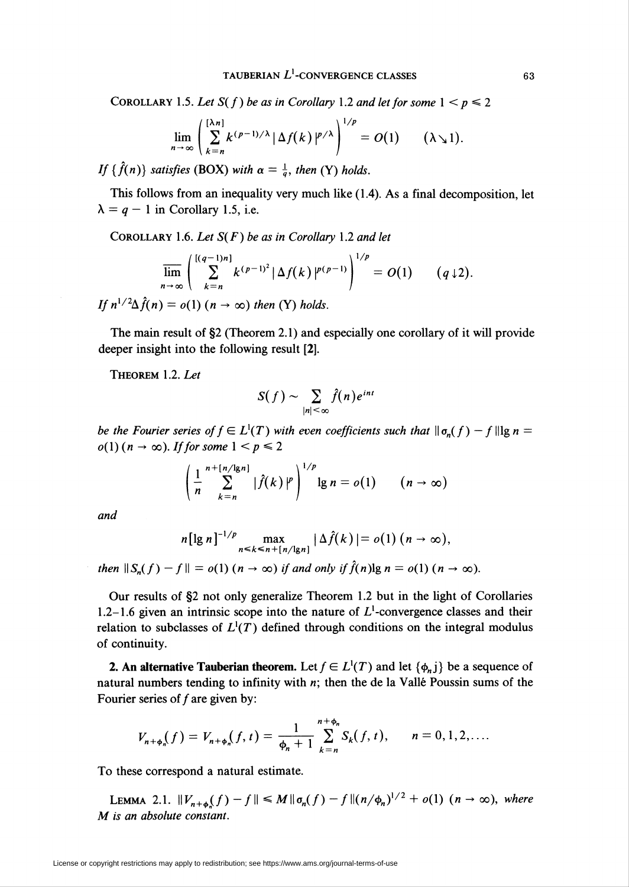COROLLARY 1.5. Let  $S(f)$  be as in Corollary 1.2 and let for some  $1 < p \le 2$ 

$$
\lim_{n\to\infty}\left(\sum_{k=n}^{\lfloor\lambda n\rfloor}k^{(p-1)/\lambda}\left|\Delta f(k)\right|^{p/\lambda}\right)^{1/p}=O(1)\qquad (\lambda\searrow 1).
$$

If  $\{\hat{f}(n)\}\$  satisfies (BOX) with  $\alpha = \frac{1}{a}$ , then (Y) holds.

This follows from an inequality very much like (1.4). As a final decomposition, let  $\lambda = q - 1$  in Corollary 1.5, i.e.

COROLLARY 1.6. Let  $S(F)$  be as in Corollary 1.2 and let

$$
\overline{\lim}_{n\to\infty}\left(\sum_{k=n}^{[(q-1)n]}k^{(p-1)^2}|\Delta f(k)|^{p(p-1)}\right)^{1/p}=O(1)\qquad (q\downarrow 2).
$$

If  $n^{1/2}\Delta f(n) = o(1)$   $(n \rightarrow \infty)$  then (Y) holds.

The main result of §2 (Theorem 2.1) and especially one corollary of it will provide deeper insight into the following result [2].

THEOREM 1.2. Let

$$
S(f) \sim \sum_{|n| \leq \infty} \hat{f}(n) e^{int}
$$

be the Fourier series of  $f \in L^1(T)$  with even coefficients such that  $\|\sigma_n(f) - f\|$ lg n =  $o(1)$  ( $n \to \infty$ ). If for some  $1 < p \le 2$ 

$$
\left(\frac{1}{n}\sum_{k=n}^{n+[n/\lg n]}|\hat{f}(k)|^p\right)^{1/p}\lg n=o(1)\qquad (n\to\infty)
$$

and

$$
n[\lg n]^{-1/p} \max_{n \leq k \leq n + [n/\lg n]} |\Delta \hat{f}(k)| = o(1) (n \to \infty),
$$

then  $||S_n(f) - f|| = o(1)$   $(n \to \infty)$  if and only if  $\hat{f}(n)$ lg  $n = o(1)$   $(n \to \infty)$ .

Our results of §2 not only generalize Theorem 1.2 but in the light of Corollaries 1.2-1.6 given an intrinsic scope into the nature of  $L<sup>1</sup>$ -convergence classes and their relation to subclasses of  $L^1(T)$  defined through conditions on the integral modulus of continuity.

**2. An alternative Tauberian theorem.** Let  $f \in L^1(T)$  and let  $\{\phi_n\}$  be a sequence of natural numbers tending to infinity with  $n$ ; then the de la Vallé Poussin sums of the Fourier series of  $f$  are given by:

$$
V_{n+\phi_n}(f) = V_{n+\phi_n}(f,t) = \frac{1}{\phi_n+1} \sum_{k=n}^{n+\phi_n} S_k(f,t), \qquad n = 0, 1, 2, ....
$$

To these correspond a natural estimate.

LEMMA 2.1.  $\|V_{n+\phi_n}(f) - f\| \le M \|\sigma_n(f) - f\|(n/\phi_n)^{1/2} + o(1)$   $(n \to \infty)$ , where M is an absolute constant.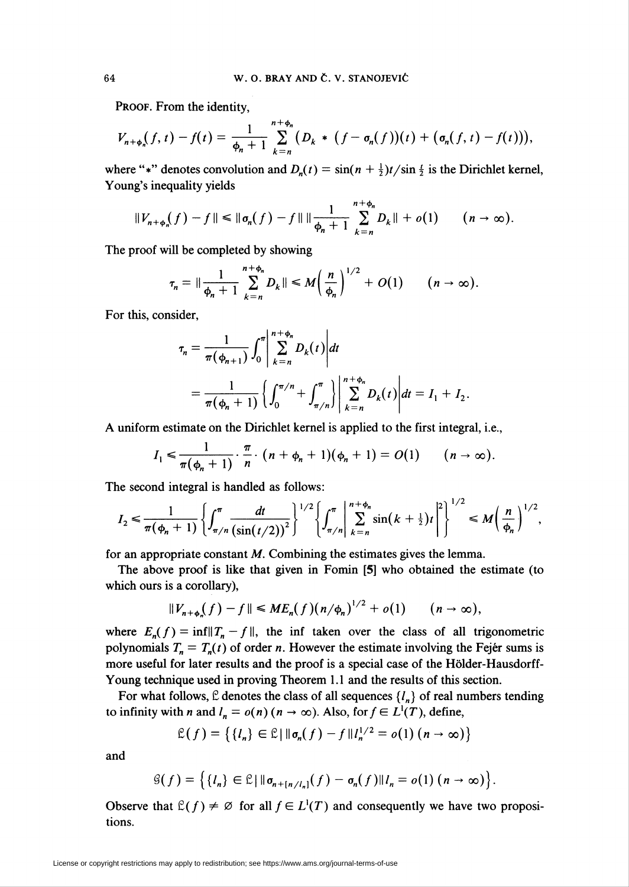PROOF. From the identity,

$$
V_{n+\phi_n}(f,t)-f(t)=\frac{1}{\phi_n+1}\sum_{k=n}^{n+\phi_n}\bigl(D_k\ast (f-\sigma_n(f))(t)+(\sigma_n(f,t)-f(t))\bigr),
$$

where "\*" denotes convolution and  $D_n(t) = \sin((n + \frac{1}{2})t/\sin(\frac{1}{2})t)$  is the Dirichlet kernel, Young's inequality yields

$$
||V_{n+\phi_n}(f)-f|| \leq ||\sigma_n(f)-f|| ||\frac{1}{\phi_n+1} \sum_{k=n}^{n+\phi_n} D_k|| + o(1) \qquad (n \to \infty).
$$

 $\mathbf{r}$ 

The proof will be completed by showing

$$
\tau_n=\|\frac{1}{\phi_n+1}\sum_{k=n}^{n+\phi_n}D_k\|\leq M\left(\frac{n}{\phi_n}\right)^{1/2}+O(1)\qquad(n\to\infty).
$$

For this, consider,

$$
\tau_n = \frac{1}{\pi(\phi_{n+1})} \int_0^{\pi} \left| \sum_{k=n}^{n+\phi_n} D_k(t) \right| dt
$$
  
= 
$$
\frac{1}{\pi(\phi_n + 1)} \left\{ \int_0^{\pi/n} + \int_{\pi/n}^{\pi} \right\} \left| \sum_{k=n}^{n+\phi_n} D_k(t) \right| dt = I_1 + I_2.
$$

A uniform estimate on the Dirichlet kernel is applied to the first integral, i.e.,

$$
I_1 \leqslant \frac{1}{\pi(\phi_n+1)} \cdot \frac{\pi}{n} \cdot (n+\phi_n+1)(\phi_n+1) = O(1) \qquad (n \to \infty).
$$

The second integral is handled as follows

$$
I_2 \leq \frac{1}{\pi(\phi_n+1)} \left\{ \int_{\pi/n}^{\pi} \frac{dt}{\left(\sin(t/2)\right)^2} \right\}^{1/2} \left\{ \int_{\pi/n}^{\pi} \left| \sum_{k=n}^{n+\phi_n} \sin(k+\frac{1}{2})t \right|^2 \right\}^{1/2} \leq M \left( \frac{n}{\phi_n} \right)^{1/2},
$$

for an appropriate constant  $M$ . Combining the estimates gives the lemma.

The above proof is like that given in Fomin [5] who obtained the estimate (to which ours is a corollary),

$$
||V_{n+\phi_n}(f)-f|| \leq ME_n(f)(n/\phi_n)^{1/2}+o(1) \qquad (n\to\infty),
$$

where  $E_n(f) = \inf \|T_n - f\|$ , the inf taken over the class of all trigonometric polynomials  $T_n = T_n(t)$  of order *n*. However the estimate involving the Fejér sums is more useful for later results and the proof is a special case of the Hölder-Hausdorff-Young technique used in proving Theorem 1.1 and the results of this section.

For what follows,  $\mathcal{L}$  denotes the class of all sequences  $\{l_n\}$  of real numbers tending to infinity with *n* and  $l_n = o(n)$  ( $n \to \infty$ ). Also, for  $f \in L^1(T)$ , define,

$$
\mathcal{L}(f) = \left\{ \{l_n\} \in \mathcal{L} \mid \|\sigma_n(f) - f\| \, l_n^{1/2} = o(1) \left( n \to \infty \right) \right\}
$$

and

$$
\mathcal{G}(f) = \left\{ \{l_n\} \in \mathcal{L} \mid \|\sigma_{n+\lfloor n/l_n \rfloor}(f) - \sigma_n(f)\|l_n = o(1) \ (n \to \infty) \right\}.
$$

Observe that  $\mathcal{L}(f) \neq \emptyset$  for all  $f \in L^1(T)$  and consequently we have two propositions.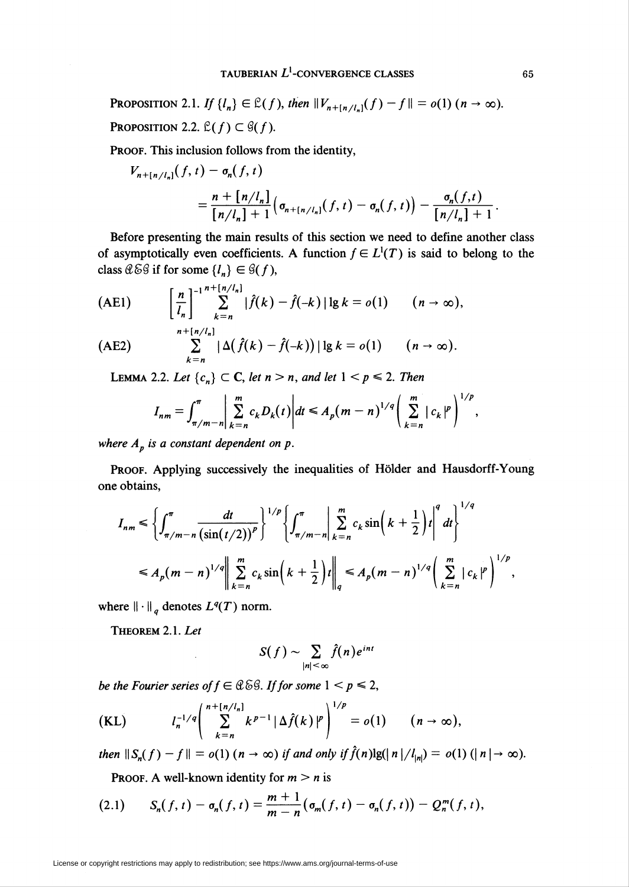PROPOSITION 2.1. If  $\{I_n\} \in \mathcal{L}(f)$ , then  $\|V_{n+[n/l_n]}(f) - f\| = o(1)$   $(n \to \infty)$ . PROPOSITION 2.2.  $\mathcal{L}(f) \subset \mathcal{G}(f)$ .

PROOF. This inclusion follows from the identity,

$$
V_{n+[n/l_n]}(f, t) - \sigma_n(f, t)
$$
  
= 
$$
\frac{n + [n/l_n]}{[n/l_n] + 1} (\sigma_{n+[n/l_n]}(f, t) - \sigma_n(f, t)) - \frac{\sigma_n(f, t)}{[n/l_n] + 1}.
$$

Before presenting the main results of this section we need to define another class of asymptotically even coefficients. A function  $f \in L^1(T)$  is said to belong to the class  $\mathcal{C}\&\mathcal{G}$  if for some  $\{l_n\} \in \mathcal{G}(f)$ ,

$$
\text{(AE1)} \qquad \left[\frac{n}{l_n}\right]_{k=n}^{-1} \sum_{k=n}^{n+[n/l_n]} |\hat{f}(k) - \hat{f}(-k)| \lg k = o(1) \qquad (n \to \infty),
$$

$$
\text{(AE2)} \qquad \sum_{k=n}^{n+\lfloor n/\tau_n\rfloor} |\Delta(\hat{f}(k)-\hat{f}(-k))| \lg k = o(1) \qquad (n \to \infty).
$$

LEMMA 2.2. Let  $\{c_n\} \subset \mathbb{C}$ , let  $n > n$ , and let  $1 < p \le 2$ . Then

$$
I_{nm} = \int_{\pi/m-n}^{\pi} \left| \sum_{k=n}^{m} c_k D_k(t) \right| dt \leq A_p (m-n)^{1/q} \left( \sum_{k=n}^{m} |c_k|^p \right)^{1/p},
$$

where  $A_p$  is a constant dependent on p.

PROOF. Applying successively the inequalities of Hölder and Hausdorff-Young one obtains,

$$
I_{nm} \leq \left\{ \int_{\pi/m-n}^{\pi} \frac{dt}{\left(\sin(t/2)\right)^p} \right\}^{1/p} \left\{ \int_{\pi/m-n}^{\pi} \left| \sum_{k=n}^{m} c_k \sin\left(k + \frac{1}{2}\right)t \right|^q dt \right\}^{1/q}
$$
  

$$
\leq A_p (m-n)^{1/q} \left\| \sum_{k=n}^{m} c_k \sin\left(k + \frac{1}{2}\right)t \right\|_q \leq A_p (m-n)^{1/q} \left( \sum_{k=n}^{m} |c_k|^p \right)^{1/p}
$$

where  $\|\cdot\|_q$  denotes  $L^q(T)$  norm.

THEOREM 2.1. Let

$$
S(f) \sim \sum_{|n| < \infty} \hat{f}(n) e^{int}
$$

be the Fourier series of  $f \in \mathcal{C} \& \mathcal{G}$ . If for some  $1 < p \leq 2$ ,

$$
(KL) \t I_n^{-1/q} \left( \sum_{k=n}^{n+[n/l_n]} k^{p-1} |\Delta \hat{f}(k)|^p \right)^{1/p} = o(1) \t (n \to \infty),
$$

then  $||S_n(f) - f|| = o(1)$   $(n \to \infty)$  if and only if  $\hat{f}(n) \lg(|n|/|_{|n|}) = o(1)$   $(|n| \to \infty)$ .

PROOF. A well-known identity for  $m > n$  is

(2.1) 
$$
S_n(f,t)-\sigma_n(f,t)=\frac{m+1}{m-n}\big(\sigma_m(f,t)-\sigma_n(f,t)\big)-Q_n^m(f,t),
$$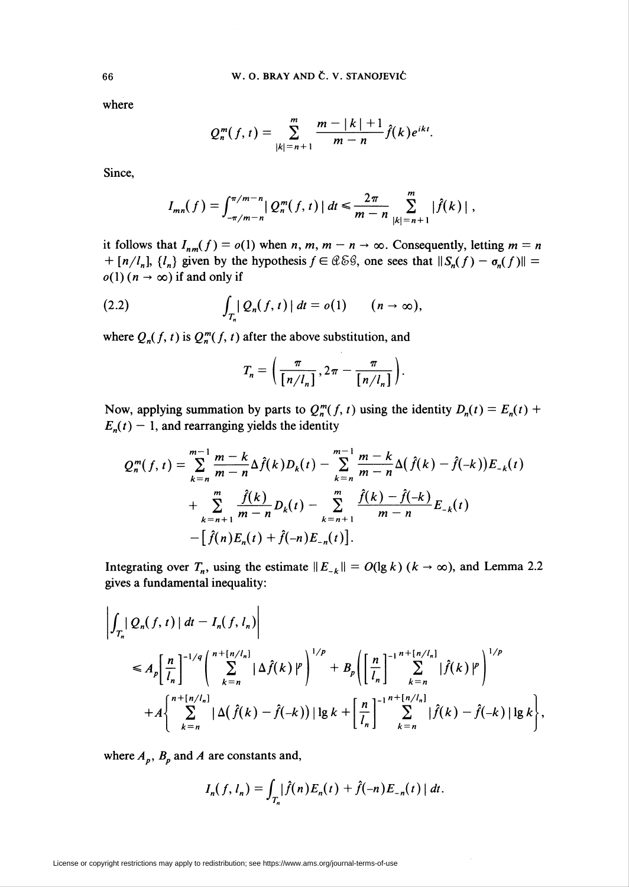where

$$
Q_n^m(f,t) = \sum_{|k|=n+1}^m \frac{m-|k|+1}{m-n} \hat{f}(k)e^{ikt}.
$$

Since,

$$
I_{mn}(f) = \int_{-\pi/m-n}^{\pi/m-n} |Q_n^m(f, t)| dt \leq \frac{2\pi}{m-n} \sum_{|k|=n+1}^m |\hat{f}(k)|,
$$

it follows that  $I_{nm}(f) = o(1)$  when  $n, m, m - n \rightarrow \infty$ . Consequently, letting  $m = n$  $+ [n/l_n]$ ,  $\{l_n\}$  given by the hypothesis  $f \in \mathcal{C} \& \mathcal{C}$ , one sees that  $||S_n(f) - \sigma_n(f)|| =$  $o(1)$  ( $n \to \infty$ ) if and only if

(2.2) 
$$
\int_{T_n} |Q_n(f,t)| dt = o(1) \qquad (n \to \infty),
$$

where  $Q_n(f, t)$  is  $Q_n^m(f, t)$  after the above substitution, and

$$
T_n = \left(\frac{\pi}{\left\lfloor n/l_n \right\rfloor}, 2\pi - \frac{\pi}{\left\lfloor n/l_n \right\rfloor}\right).
$$

Now, applying summation by parts to  $Q_n^m(f, t)$  using the identity  $D_n(t) = E_n(t) +$  $E_n(t)$  – 1, and rearranging yields the identity

$$
Q_n^m(f, t) = \sum_{k=n}^{m-1} \frac{m-k}{m-n} \Delta \hat{f}(k) D_k(t) - \sum_{k=n}^{m-1} \frac{m-k}{m-n} \Delta(\hat{f}(k) - \hat{f}(-k)) E_{-k}(t) + \sum_{k=n+1}^{m} \frac{\hat{f}(k)}{m-n} D_k(t) - \sum_{k=n+1}^{m} \frac{\hat{f}(k) - \hat{f}(-k)}{m-n} E_{-k}(t) - [\hat{f}(n) E_n(t) + \hat{f}(-n) E_{-n}(t)].
$$

Integrating over  $T_n$ , using the estimate  $||E_{-k}|| = O(\lg k)$  ( $k \to \infty$ ), and Lemma 2.2 gives a fundamental inequality:

$$
\left| \int_{T_n} Q_n(f, t) \, dt - I_n(f, l_n) \right|
$$
\n
$$
\leq A_p \left[ \frac{n}{l_n} \right]^{-1/q} \left( \sum_{k=n}^{n+[n/l_n]} |\Delta \hat{f}(k)|^p \right)^{1/p} + B_p \left( \left[ \frac{n}{l_n} \right]^{-1} \sum_{k=n}^{n+[n/l_n]} |\hat{f}(k)|^p \right)^{1/p} + A \left\{ \sum_{k=n}^{n+[n/l_n]} |\Delta(\hat{f}(k) - \hat{f}(-k))| \lg k + \left[ \frac{n}{l_n} \right]^{-1} \sum_{k=n}^{n+[n/l_n]} |\hat{f}(k) - \hat{f}(-k)| \lg k \right\},
$$

where  $A_p$ ,  $B_p$  and A are constants and,

$$
I_n(f, l_n) = \int_{T_n} |\hat{f}(n)E_n(t) + \hat{f}(-n)E_{-n}(t)| dt.
$$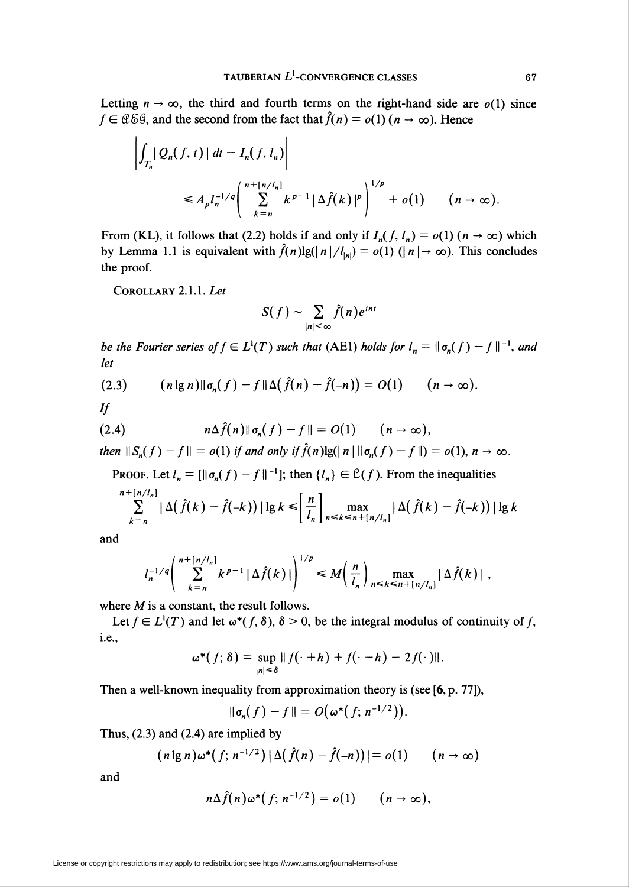Letting  $n \to \infty$ , the third and fourth terms on the right-hand side are  $o(1)$  since  $f \in \mathcal{C} \& \mathcal{G}$ , and the second from the fact that  $\hat{f}(n) = o(1)$  ( $n \to \infty$ ). Hence

$$
\left| \int_{T_n} |Q_n(f, t)| dt - I_n(f, l_n) \right|
$$
  
\n
$$
\leq A_p l_n^{-1/q} \left( \sum_{k=n}^{n+[n/l_n]} k^{p-1} |\Delta \hat{f}(k)|^p \right)^{1/p} + o(1) \qquad (n \to \infty).
$$

From (KL), it follows that (2.2) holds if and only if  $I_n(f, l_n) = o(1)$  ( $n \to \infty$ ) which by Lemma 1.1 is equivalent with  $\hat{f}(n)\lg(|n|/l_{\vert n|}) = o(1)$   $(|n| \rightarrow \infty)$ . This concludes the proof.

Corollary 2.1.1. Let

$$
S(f) \sim \sum_{|n| < \infty} \hat{f}(n) e^{int}
$$

be the Fourier series of  $f \in L^1(T)$  such that (AE1) holds for  $l_n = \|\sigma_n(f) - f\|^{-1}$ , and let

$$
(2.3) \qquad (n \lg n) \|\sigma_n(f) - f\| \Delta \big(\hat{f}(n) - \hat{f}(-n)\big) = O(1) \qquad (n \to \infty).
$$

 $\mathcal{H}$ 

(2.4) 
$$
n\Delta \hat{f}(n) \|\sigma_n(f) - f\| = O(1) \qquad (n \to \infty),
$$

then  $\|S_n(f)-f\| = o(1)$  if and only if  $\hat{f}(n)\lg(\|n\|\mathfrak{o}_n(f)-f\|) = o(1), n \to \infty$ .

PROOF. Let  $l_n = [\mathbf{||}\sigma_n(f) - f\mathbf{||}^{-1}];$  then  $\{l_n\} \in \mathcal{L}(f)$ . From the inequalities  $\mathbf{r}$  and  $\mathbf{r}$ 

$$
\sum_{k=n}^{n+[n/l_n]}|\Delta(\hat{f}(k)-\hat{f}(-k))|\lg k\leq \left[\frac{n}{l_n}\right]_{n\leq k\leq n+[n/l_n]}|\Delta(\hat{f}(k)-\hat{f}(-k))|\lg k
$$

and

$$
l_n^{-1/q}\left(\sum_{k=n}^{n+[n/l_n]}k^{p-1}\left|\Delta \hat{f}(k)\right|\right)^{1/p} \leq M\left(\frac{n}{l_n}\right) \max_{n\leq k\leq n+[n/l_n]}|\Delta \hat{f}(k)|,
$$

where  $M$  is a constant, the result follows.

Let  $f \in L^1(T)$  and let  $\omega^*(f, \delta)$ ,  $\delta > 0$ , be the integral modulus of continuity of f, i.e.,

$$
\omega^*(f; \delta) = \sup_{|n| \leq \delta} ||f(\cdot + h) + f(\cdot - h) - 2f(\cdot)||.
$$

Then a well-known inequality from approximation theory is (see [6, p. 77]),

$$
\|\sigma_n(f)-f\|=O\big(\omega^*\big(f;\,n^{-1/2}\big)\big).
$$

Thus, (2.3) and (2.4) are implied by

$$
(n \lg n) \omega^*(f; n^{-1/2}) |\Delta(\hat{f}(n) - \hat{f}(-n))| = o(1) \qquad (n \to \infty)
$$

and

$$
n\Delta \hat{f}(n)\omega^*(f; n^{-1/2})=o(1) \qquad (n\to\infty),
$$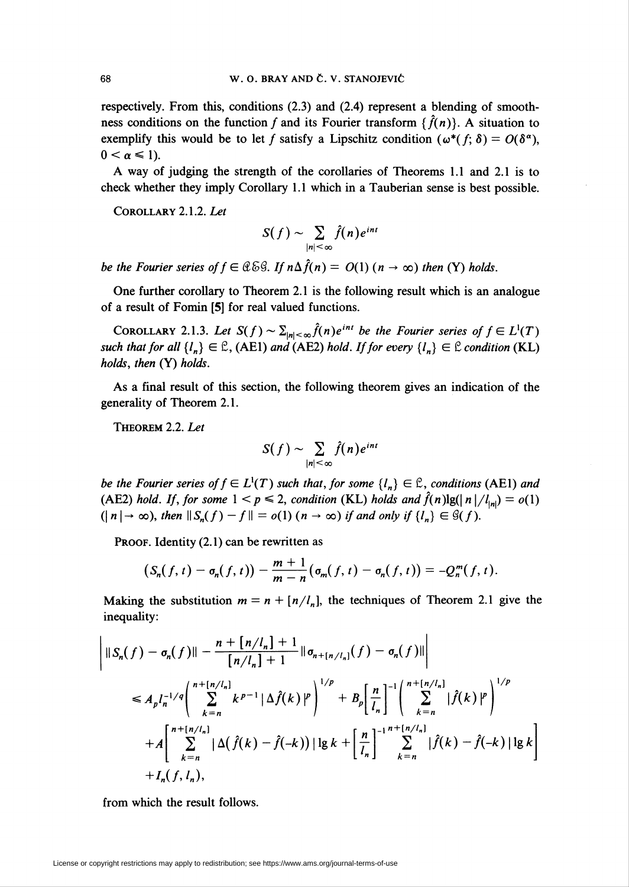respectively. From this, conditions (2.3) and (2.4) represent a blending of smoothness conditions on the function f and its Fourier transform { $\hat{f}(n)$ }. A situation to exemplify this would be to let f satisfy a Lipschitz condition ( $\omega^*(f; \delta) = O(\delta^{\alpha})$ ),  $0 < \alpha \leq 1$ ).

A way of judging the strength of the corollaries of Theorems 1.1 and 2.1 is to check whether they imply Corollary 1.1 which in a Tauberian sense is best possible.

Corollary 2.1.2. Let

$$
S(f) \sim \sum_{|n| < \infty} \hat{f}(n) e^{int}
$$

be the Fourier series of  $f \in \mathcal{C} \& \mathcal{G}$ . If  $n \Delta \hat{f}(n) = O(1)$   $(n \rightarrow \infty)$  then (Y) holds.

One further corollary to Theorem 2.1 is the following result which is an analogue of a result of Fomin [5] for real valued functions.

COROLLARY 2.1.3. Let  $S(f) \sim \sum_{|n| \leq \infty} \hat{f}(n)e^{int}$  be the Fourier series of  $f \in L^1(T)$ such that for all  $\{l_n\} \in \mathbb{C}$ , (AE1) and (AE2) hold. If for every  $\{l_n\} \in \mathbb{C}$  condition (KL) holds, then (Y) holds.

As a final result of this section, the following theorem gives an indication of the generality of Theorem 2.1.

THEOREM 2.2. Let

$$
S(f) \sim \sum_{|n| < \infty} \hat{f}(n) e^{int}
$$

be the Fourier series of  $f \in L^1(T)$  such that, for some  $\{l_n\} \in \mathcal{L}$ , conditions (AE1) and (AE2) hold. If, for some  $1 < p \le 2$ , condition (KL) holds and  $\hat{f}(n)$ lg( $\vert n \vert / l_{\vert n\vert}$ ) = o(1)  $(| n | \rightarrow \infty)$ , then  $||S_n(f) - f|| = o(1)$   $(n \rightarrow \infty)$  if and only if  $\{l_n\} \in \mathcal{G}(f)$ .

PROOF. Identity (2.1) can be rewritten as

$$
\big(S_n(f,t)-\sigma_n(f,t)\big)-\frac{m+1}{m-n}\big(\sigma_m(f,t)-\sigma_n(f,t)\big)=-Q_n^m(f,t).
$$

Making the substitution  $m = n + [n/l_n]$ , the techniques of Theorem 2.1 give the inequality:

$$
\begin{aligned}\n\left| \|\mathbf{S}_{n}(f) - \sigma_{n}(f) \| - \frac{n + [n/l_{n}] + 1}{[n/l_{n}] + 1} \|\sigma_{n + [n/l_{n}]}(f) - \sigma_{n}(f) \| \right| \\
&\leq A_{p} l_{n}^{-1/q} \left( \sum_{k=n}^{n + [n/l_{n}]} k^{p-1} |\Delta \hat{f}(k)|^{p} \right)^{1/p} + B_{p} \left[ \frac{n}{l_{n}} \right]^{-1} \left( \sum_{k=n}^{n + [n/l_{n}]} |\hat{f}(k)|^{p} \right)^{1/p} \\
&+ A \left[ \sum_{k=n}^{n + [n/l_{n}]} |\Delta(\hat{f}(k) - \hat{f}(-k))| \lg k + \left[ \frac{n}{l_{n}} \right]^{-1} \sum_{k=n}^{n + [n/l_{n}]} |\hat{f}(k) - \hat{f}(-k)| \lg k \right] \\
&+ I_{n}(f, l_{n}),\n\end{aligned}
$$

from which the result follows.